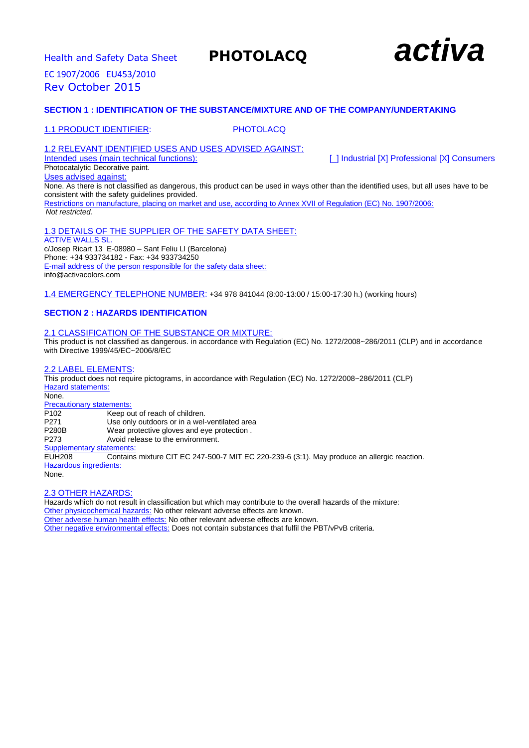# **Health and Safety Data Sheet PHOTOLACQ and Safety Data Sheet PHOTOLACQ**



EC 1907/2006 EU453/2010 Rev October 2015

# **SECTION 1 : IDENTIFICATION OF THE SUBSTANCE/MIXTURE AND OF THE COMPANY/UNDERTAKING**

# 1.1 PRODUCT IDENTIFIER: PHOTOLACQ

# 1.2 RELEVANT IDENTIFIED USES AND USES ADVISED AGAINST:<br>Intended uses (main technical functions):

[\_] Industrial [X] Professional [X] Consumers

Photocatalytic Decorative paint. Uses advised against:

None. As there is not classified as dangerous, this product can be used in ways other than the identified uses, but all uses have to be consistent with the safety guidelines provided. Restrictions on manufacture, placing on market and use, according to Annex XVII of Regulation (EC) No. 1907/2006: *Not restricted.*

# 1.3 DETAILS OF THE SUPPLIER OF THE SAFETY DATA SHEET:

ACTIVE WALLS SL. c/Josep Ricart 13 E-08980 – Sant Feliu Ll (Barcelona) Phone: +34 933734182 - Fax: +34 933734250 E-mail address of the person responsible for the safety data sheet: info@activacolors.com

1.4 EMERGENCY TELEPHONE NUMBER: +34 978 841044 (8:00-13:00 / 15:00-17:30 h.) (working hours)

# **SECTION 2 : HAZARDS IDENTIFICATION**

# 2.1 CLASSIFICATION OF THE SUBSTANCE OR MIXTURE:

This product is not classified as dangerous. in accordance with Regulation (EC) No. 1272/2008~286/2011 (CLP) and in accordance with Directive 1999/45/EC~2006/8/EC

# 2.2 LABEL ELEMENTS:

This product does not require pictograms, in accordance with Regulation (EC) No. 1272/2008~286/2011 (CLP) Hazard statements: None. **Precautionary statements:**<br>P102 Keep o Keep out of reach of children. P271 Use only outdoors or in a wel-ventilated area P280B Wear protective gloves and eye protection. P273 Avoid release to the environment. Supplementary statements: EUH208 Contains mixture CIT EC 247-500-7 MIT EC 220-239-6 (3:1). May produce an allergic reaction. Hazardous ingredients: None.

# 2.3 OTHER HAZARDS:

Hazards which do not result in classification but which may contribute to the overall hazards of the mixture: Other physicochemical hazards: No other relevant adverse effects are known. Other adverse human health effects: No other relevant adverse effects are known. Other negative environmental effects: Does not contain substances that fulfil the PBT/vPvB criteria.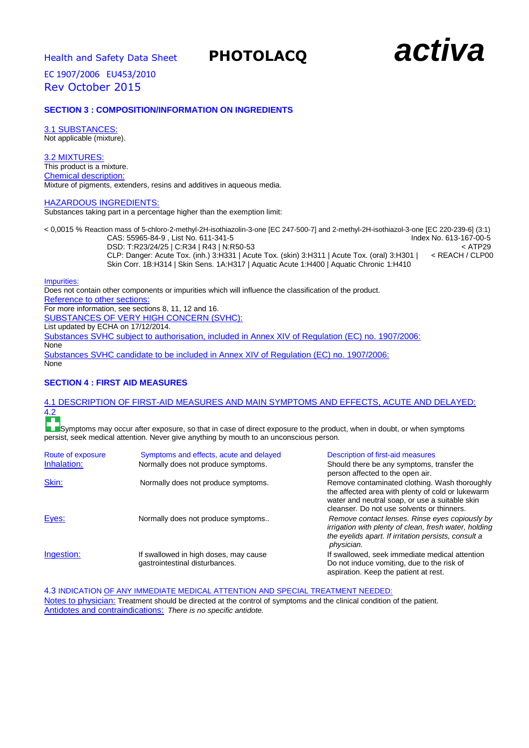

# **SECTION 3 : COMPOSITION/INFORMATION ON INGREDIENTS**

3.1 SUBSTANCES: Not applicable (mixture).

# 3.2 MIXTURES:

This product is a mixture. Chemical description: Mixture of pigments, extenders, resins and additives in aqueous media.

## HAZARDOUS INGREDIENTS:

Substances taking part in a percentage higher than the exemption limit:

| < 0,0015 % Reaction mass of 5-chloro-2-methyl-2H-isothiazolin-3-one [EC 247-500-7] and 2-methyl-2H-isothiazol-3-one [EC 220-239-6] (3:1) |                        |
|------------------------------------------------------------------------------------------------------------------------------------------|------------------------|
| CAS: 55965-84-9 . List No. 611-341-5                                                                                                     | Index No. 613-167-00-5 |
| DSD: T:R23/24/25   C:R34   R43   N:R50-53                                                                                                | $<$ ATP29              |
| CLP: Danger: Acute Tox. (inh.) 3:H331   Acute Tox. (skin) 3:H311   Acute Tox. (oral) 3:H301                                              | < REACH / CLP00        |
| Skin Corr. 1B:H314   Skin Sens. 1A:H317   Aguatic Acute 1:H400   Aguatic Chronic 1:H410                                                  |                        |

Impurities:

Does not contain other components or impurities which will influence the classification of the product. Reference to other sections: For more information, see sections 8, 11, 12 and 16. SUBSTANCES OF VERY HIGH CONCERN (SVHC): List updated by ECHA on 17/12/2014. Substances SVHC subject to authorisation, included in Annex XIV of Regulation (EC) no. 1907/2006: None Substances SVHC candidate to be included in Annex XIV of Regulation (EC) no. 1907/2006: **None** 

# **SECTION 4 : FIRST AID MEASURES**

### 4.1 DESCRIPTION OF FIRST-AID MEASURES AND MAIN SYMPTOMS AND EFFECTS, ACUTE AND DELAYED: 4.2 **TELE**

**LE**Symptoms may occur after exposure, so that in case of direct exposure to the product, when in doubt, or when symptoms persist, seek medical attention. Never give anything by mouth to an unconscious person.

| Route of exposure | Symptoms and effects, acute and delayed                                 | Description of first-aid measures                                                                                                                                                                  |
|-------------------|-------------------------------------------------------------------------|----------------------------------------------------------------------------------------------------------------------------------------------------------------------------------------------------|
| Inhalation:       | Normally does not produce symptoms.                                     | Should there be any symptoms, transfer the<br>person affected to the open air.                                                                                                                     |
| Skin:             | Normally does not produce symptoms.                                     | Remove contaminated clothing. Wash thoroughly<br>the affected area with plenty of cold or lukewarm<br>water and neutral soap, or use a suitable skin<br>cleanser. Do not use solvents or thinners. |
| Eyes:             | Normally does not produce symptoms                                      | Remove contact lenses. Rinse eyes copiously by<br>irrigation with plenty of clean, fresh water, holding<br>the eyelids apart. If irritation persists, consult a<br>physician.                      |
| Ingestion:        | If swallowed in high doses, may cause<br>gastrointestinal disturbances. | If swallowed, seek immediate medical attention<br>Do not induce vomiting, due to the risk of<br>aspiration. Keep the patient at rest.                                                              |

4.3 INDICATION OF ANY IMMEDIATE MEDICAL ATTENTION AND SPECIAL TREATMENT NEEDED: Notes to physician: Treatment should be directed at the control of symptoms and the clinical condition of the patient. Antidotes and contraindications: *There is no specific antidote.*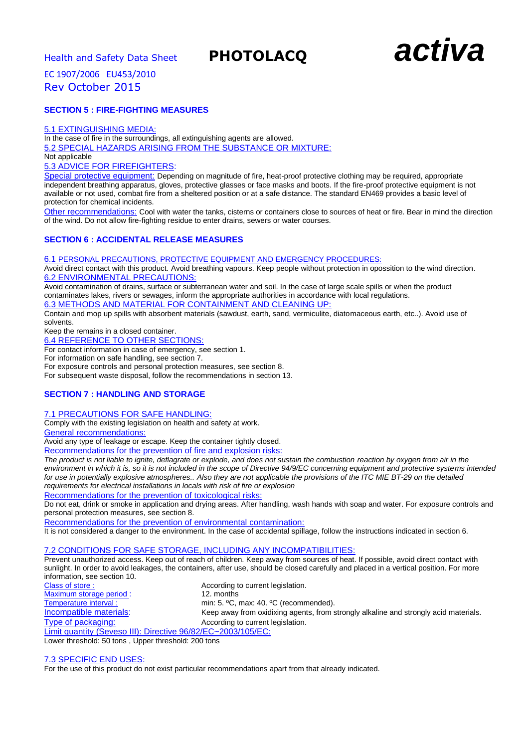

# **SECTION 5 : FIRE-FIGHTING MEASURES**

## 5.1 EXTINGUISHING MEDIA:

In the case of fire in the surroundings, all extinguishing agents are allowed. 5.2 SPECIAL HAZARDS ARISING FROM THE SUBSTANCE OR MIXTURE: Not applicable

5.3 ADVICE FOR FIREFIGHTERS:

Special protective equipment: Depending on magnitude of fire, heat-proof protective clothing may be required, appropriate independent breathing apparatus, gloves, protective glasses or face masks and boots. If the fire-proof protective equipment is not available or not used, combat fire from a sheltered position or at a safe distance. The standard EN469 provides a basic level of protection for chemical incidents.

Other recommendations: Cool with water the tanks, cisterns or containers close to sources of heat or fire. Bear in mind the direction of the wind. Do not allow fire-fighting residue to enter drains, sewers or water courses.

# **SECTION 6 : ACCIDENTAL RELEASE MEASURES**

6.1 PERSONAL PRECAUTIONS, PROTECTIVE EQUIPMENT AND EMERGENCY PROCEDURES:

Avoid direct contact with this product. Avoid breathing vapours. Keep people without protection in opossition to the wind direction. 6.2 ENVIRONMENTAL PRECAUTIONS:

Avoid contamination of drains, surface or subterranean water and soil. In the case of large scale spills or when the product contaminates lakes, rivers or sewages, inform the appropriate authorities in accordance with local regulations.

6.3 METHODS AND MATERIAL FOR CONTAINMENT AND CLEANING UP:

Contain and mop up spills with absorbent materials (sawdust, earth, sand, vermiculite, diatomaceous earth, etc..). Avoid use of solvents.

Keep the remains in a closed container.

6.4 REFERENCE TO OTHER SECTIONS:

For contact information in case of emergency, see section 1.

For information on safe handling, see section 7.

For exposure controls and personal protection measures, see section 8.

For subsequent waste disposal, follow the recommendations in section 13.

# **SECTION 7 : HANDLING AND STORAGE**

# 7.1 PRECAUTIONS FOR SAFE HANDLING:

Comply with the existing legislation on health and safety at work.

General recommendations:

Avoid any type of leakage or escape. Keep the container tightly closed.

Recommendations for the prevention of fire and explosion risks:

*The product is not liable to ignite, deflagrate or explode, and does not sustain the combustion reaction by oxygen from air in the environment in which it is, so it is not included in the scope of Directive 94/9/EC concerning equipment and protective systems intended for use in potentially explosive atmospheres.. Also they are not applicable the provisions of the ITC MIE BT-29 on the detailed requirements for electrical installations in locals with risk of fire or explosion*

Recommendations for the prevention of toxicological risks:

Do not eat, drink or smoke in application and drying areas. After handling, wash hands with soap and water. For exposure controls and personal protection measures, see section 8.

Recommendations for the prevention of environmental contamination:

It is not considered a danger to the environment. In the case of accidental spillage, follow the instructions indicated in section 6.

# 7.2 CONDITIONS FOR SAFE STORAGE, INCLUDING ANY INCOMPATIBILITIES:

Prevent unauthorized access. Keep out of reach of children. Keep away from sources of heat. If possible, avoid direct contact with sunlight. In order to avoid leakages, the containers, after use, should be closed carefully and placed in a vertical position. For more information, see section 10.

Class of store :<br>
Maximum storage period :<br>
Maximum storage period :<br>
12. months Maximum storage period : Temperature interval : min: 5. °C, max: 40. °C (recommended). Incompatible materials: Keep away from oxidixing agents, from strongly alkaline and strongly acid materials. Type of packaging: Type of packaging: According to current legislation. Limit quantity (Seveso III): Directive 96/82/EC~2003/105/EC:

Lower threshold: 50 tons , Upper threshold: 200 tons

7.3 SPECIFIC END USES:

For the use of this product do not exist particular recommendations apart from that already indicated.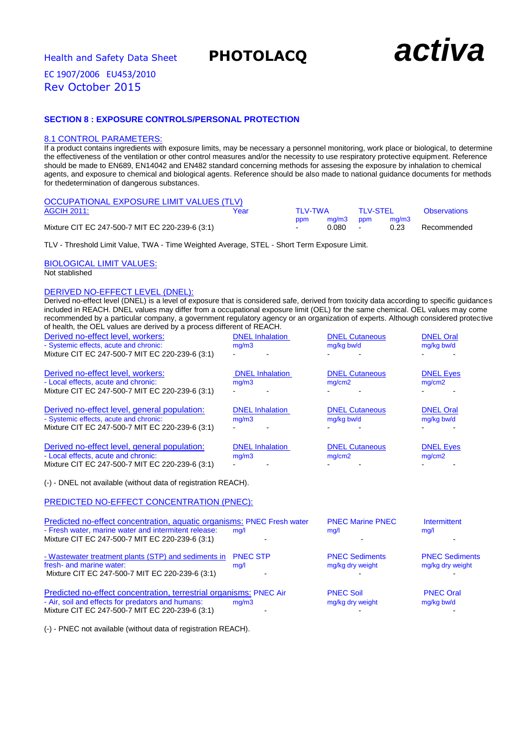

# **SECTION 8 : EXPOSURE CONTROLS/PERSONAL PROTECTION**

# 8.1 CONTROL PARAMETERS:

If a product contains ingredients with exposure limits, may be necessary a personnel monitoring, work place or biological, to determine the effectiveness of the ventilation or other control measures and/or the necessity to use respiratory protective equipment. Reference should be made to EN689, EN14042 and EN482 standard concerning methods for assesing the exposure by inhalation to chemical agents, and exposure to chemical and biological agents. Reference should be also made to national guidance documents for methods for thedetermination of dangerous substances.

| OCCUPATIONAL EXPOSURE LIMIT VALUES (TLV)        |      |                |           |           |       |                     |
|-------------------------------------------------|------|----------------|-----------|-----------|-------|---------------------|
| AGCIH 2011:                                     | Year | TI V-TWA       |           | TI V-STFI |       | <b>Observations</b> |
|                                                 |      | ppm            | ma/m3 ppm |           | ma/m3 |                     |
| Mixture CIT EC 247-500-7 MIT EC 220-239-6 (3:1) |      | $\blacksquare$ | ገ በጸበ -   |           | 0.23  | Recommended         |

TLV - Threshold Limit Value, TWA - Time Weighted Average, STEL - Short Term Exposure Limit.

BIOLOGICAL LIMIT VALUES: Not stablished

# DERIVED NO-EFFECT LEVEL (DNEL):

Derived no-effect level (DNEL) is a level of exposure that is considered safe, derived from toxicity data according to specific guidances included in REACH. DNEL values may differ from a occupational exposure limit (OEL) for the same chemical. OEL values may come recommended by a particular company, a government regulatory agency or an organization of experts. Although considered protective of health, the OEL values are derived by a process different of REACH.

| Derived no-effect level, workers:<br>- Systemic effects, acute and chronic:<br>Mixture CIT EC 247-500-7 MIT EC 220-239-6 (3:1)                                                    | <b>DNEL</b> Inhalation<br>mg/m3 | <b>DNEL Cutaneous</b><br>mg/kg bw/d       | <b>DNEL Oral</b><br>mg/kg bw/d            |
|-----------------------------------------------------------------------------------------------------------------------------------------------------------------------------------|---------------------------------|-------------------------------------------|-------------------------------------------|
| Derived no-effect level, workers:<br>- Local effects, acute and chronic:<br>Mixture CIT EC 247-500-7 MIT EC 220-239-6 (3:1)                                                       | <b>DNEL</b> Inhalation<br>mg/m3 | <b>DNEL Cutaneous</b><br>mg/cm2           | <b>DNEL Eyes</b><br>mg/cm2                |
| Derived no-effect level, general population:<br>- Systemic effects, acute and chronic:<br>Mixture CIT EC 247-500-7 MIT EC 220-239-6 (3:1)                                         | <b>DNEL Inhalation</b><br>mg/m3 | <b>DNEL Cutaneous</b><br>mg/kg bw/d       | <b>DNEL Oral</b><br>mg/kg bw/d            |
| Derived no-effect level, general population:<br>- Local effects, acute and chronic:<br>Mixture CIT EC 247-500-7 MIT EC 220-239-6 (3:1)                                            | <b>DNEL</b> Inhalation<br>mg/m3 | <b>DNEL Cutaneous</b><br>mq/cm2           | <b>DNEL Eyes</b><br>mg/cm2                |
| (-) - DNEL not available (without data of registration REACH).                                                                                                                    |                                 |                                           |                                           |
| PREDICTED NO-EFFECT CONCENTRATION (PNEC):                                                                                                                                         |                                 |                                           |                                           |
| Predicted no-effect concentration, aquatic organisms: PNEC Fresh water<br>- Fresh water, marine water and intermitent release:<br>Mixture CIT EC 247-500-7 MIT EC 220-239-6 (3:1) | mq/1                            | <b>PNEC Marine PNEC</b><br>mg/l           | Intermittent<br>mq/l                      |
| - Wastewater treatment plants (STP) and sediments in<br>fresh- and marine water:<br>Mixture CIT EC 247-500-7 MIT EC 220-239-6 (3:1)                                               | <b>PNEC STP</b><br>mg/1         | <b>PNEC Sediments</b><br>mg/kg dry weight | <b>PNEC Sediments</b><br>mg/kg dry weight |
| Predicted no-effect concentration, terrestrial organisms: PNEC Air<br>- Air, soil and effects for predators and humans:<br>Mixture CIT EC 247-500-7 MIT EC 220-239-6 (3:1)        | mg/m3                           | <b>PNEC Soil</b><br>mg/kg dry weight      | <b>PNEC Oral</b><br>mg/kg bw/d            |

(-) - PNEC not available (without data of registration REACH).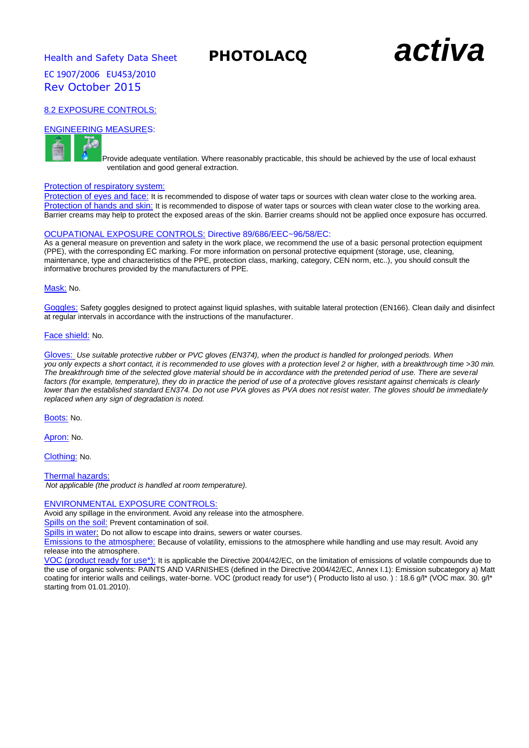**Health and Safety Data Sheet PHOTOLACQ and Safety Data Sheet PHOTOLACQ** 

# 8.2 EXPOSURE CONTROLS:

# ENGINEERING MEASURES:



Provide adequate ventilation. Where reasonably practicable, this should be achieved by the use of local exhaust ventilation and good general extraction.

### Protection of respiratory system:

Protection of eyes and face: It is recommended to dispose of water taps or sources with clean water close to the working area. Protection of hands and skin: It is recommended to dispose of water taps or sources with clean water close to the working area. Barrier creams may help to protect the exposed areas of the skin. Barrier creams should not be applied once exposure has occurred.

# OCUPATIONAL EXPOSURE CONTROLS: Directive 89/686/EEC~96/58/EC:

As a general measure on prevention and safety in the work place, we recommend the use of a basic personal protection equipment (PPE), with the corresponding EC marking. For more information on personal protective equipment (storage, use, cleaning, maintenance, type and characteristics of the PPE, protection class, marking, category, CEN norm, etc..), you should consult the informative brochures provided by the manufacturers of PPE.

### Mask: No.

Goggles: Safety goggles designed to protect against liquid splashes, with suitable lateral protection (EN166). Clean daily and disinfect at regular intervals in accordance with the instructions of the manufacturer.

### Face shield: No.

Gloves: *Use suitable protective rubber or PVC gloves (EN374), when the product is handled for prolonged periods. When you only expects a short contact, it is recommended to use gloves with a protection level 2 or higher, with a breakthrough time >30 min. The breakthrough time of the selected glove material should be in accordance with the pretended period of use. There are several*  factors (for example, temperature), they do in practice the period of use of a protective gloves resistant against chemicals is clearly *lower than the established standard EN374. Do not use PVA gloves as PVA does not resist water. The gloves should be immediately replaced when any sign of degradation is noted.*

Boots: No.

Apron: No.

Clothing: No.

Thermal hazards:

*Not applicable (the product is handled at room temperature).*

# ENVIRONMENTAL EXPOSURE CONTROLS:

Avoid any spillage in the environment. Avoid any release into the atmosphere.

Spills on the soil: Prevent contamination of soil.

Spills in water: Do not allow to escape into drains, sewers or water courses.

Emissions to the atmosphere: Because of volatility, emissions to the atmosphere while handling and use may result. Avoid any release into the atmosphere.

VOC (product ready for use\*): It is applicable the Directive 2004/42/EC, on the limitation of emissions of volatile compounds due to the use of organic solvents: PAINTS AND VARNISHES (defined in the Directive 2004/42/EC, Annex I.1): Emission subcategory a) Matt coating for interior walls and ceilings, water-borne. VOC (product ready for use\*) (Producto listo al uso.) : 18.6 g/l\* (VOC max. 30. g/l\* starting from 01.01.2010).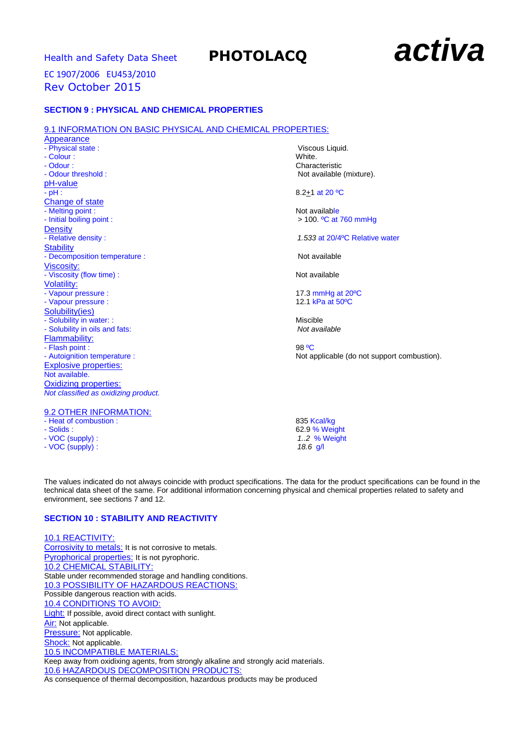# **Health and Safety Data Sheet PHOTOLACQ activa**

# EC 1907/2006 EU453/2010 Rev October 2015

# **SECTION 9 : PHYSICAL AND CHEMICAL PROPERTIES**

### 9.1 INFORMATION ON BASIC PHYSICAL AND CHEMICAL PROPERTIES:

Appearance - Physical state : Viscous Liquid. - Colour : White.<br>- Odour : White.<br>Character : Character : Character : Character : Character : Character : Character : Character : Character : Ch - Odour threshold : Not available (mixture). pH-value<br>- pH : Change of state - Melting point :<br>
- Initial boiling point :<br>
- Initial boiling point : Density<br>- Relative density : **Stability** - Decomposition temperature : Not available Viscosity: - Viscosity (flow time) : Not available Volatility: - Vapour pressure : 17.3 mmHg at 20ºC - Vapour pressure : Solubility(ies) - Solubility in water: :<br>
- Solubility in oils and fats:<br>
- Solubility in oils and fats:<br>
Mot available - Solubility in oils and fats: Flammability: - Flash point : 98 ºC Explosive properties: Not available. Oxidizing properties: *Not classified as oxidizing product.* 9.2 OTHER INFORMATION:

- VOC (supply) :

Characteristic

8.2+1 at 20 °C

 $> 100.$  <sup>o</sup>C at 760 mmHg

1.533 at 20/4<sup>°</sup>C Relative water

- Autoignition temperature : Not applicable (do not support combustion).

- Heat of combustion : 835 Kcal/kg<br>
- Solids : 62.9 % Wei 62.9 % Weight<br>1..2 % Weight - VOC (supply) : *1..2* % Weight

The values indicated do not always coincide with product specifications. The data for the product specifications can be found in the technical data sheet of the same. For additional information concerning physical and chemical properties related to safety and environment, see sections 7 and 12.

# **SECTION 10 : STABILITY AND REACTIVITY**

10.1 REACTIVITY: Corrosivity to metals: It is not corrosive to metals. Pyrophorical properties: It is not pyrophoric. 10.2 CHEMICAL STABILITY: Stable under recommended storage and handling conditions. 10.3 POSSIBILITY OF HAZARDOUS REACTIONS: Possible dangerous reaction with acids. 10.4 CONDITIONS TO AVOID: Light: If possible, avoid direct contact with sunlight. Air: Not applicable. Pressure: Not applicable. Shock: Not applicable. 10.5 INCOMPATIBLE MATERIALS: Keep away from oxidixing agents, from strongly alkaline and strongly acid materials. 10.6 HAZARDOUS DECOMPOSITION PRODUCTS: As consequence of thermal decomposition, hazardous products may be produced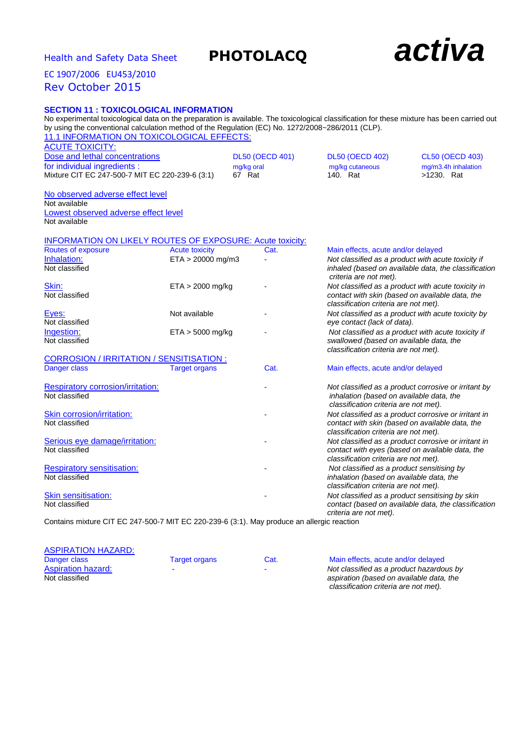# **Health and Safety Data Sheet PHOTOLACQ actival**

contact with eyes (based on available data, the

contact (based on available data, the classification

*classification criteria are not met).*

*criteria are not met).*

inhalation (based on available data, the *classification criteria are not met).*

# EC 1907/2006 EU453/2010 Rev October 2015

# **SECTION 11 : TOXICOLOGICAL INFORMATION**

No experimental toxicological data on the preparation is available. The toxicological classification for these mixture has been carried out by using the conventional calculation method of the Regulation (EC) No. 1272/2008~286/2011 (CLP).

| 11.1 INFORMATION ON TOXICOLOGICAL EFFECTS:                       |                       |                        |                                          |                                                      |
|------------------------------------------------------------------|-----------------------|------------------------|------------------------------------------|------------------------------------------------------|
| <b>ACUTE TOXICITY:</b>                                           |                       |                        |                                          |                                                      |
| Dose and lethal concentrations                                   |                       | <b>DL50 (OECD 401)</b> | <b>DL50 (OECD 402)</b>                   | <b>CL50 (OECD 403)</b>                               |
| for individual ingredients :                                     |                       | mg/kg oral             | mg/kg cutaneous                          | mg/m3.4h inhalation                                  |
| Mixture CIT EC 247-500-7 MIT EC 220-239-6 (3:1)                  |                       | 67 Rat                 | 140. Rat                                 | >1230. Rat                                           |
| No observed adverse effect level                                 |                       |                        |                                          |                                                      |
| Not available                                                    |                       |                        |                                          |                                                      |
| Lowest observed adverse effect level                             |                       |                        |                                          |                                                      |
| Not available                                                    |                       |                        |                                          |                                                      |
| <b>INFORMATION ON LIKELY ROUTES OF EXPOSURE: Acute toxicity:</b> |                       |                        |                                          |                                                      |
| Routes of exposure                                               | <b>Acute toxicity</b> | Cat.                   | Main effects, acute and/or delayed       |                                                      |
| Inhalation:                                                      | ETA > 20000 mg/m3     |                        |                                          | Not classified as a product with acute toxicity if   |
| Not classified                                                   |                       |                        |                                          | inhaled (based on available data, the classificatior |
|                                                                  |                       |                        | criteria are not met).                   |                                                      |
| Skin:                                                            | $ETA > 2000$ mg/kg    |                        |                                          | Not classified as a product with acute toxicity in   |
| Not classified                                                   |                       |                        |                                          | contact with skin (based on available data, the      |
|                                                                  |                       |                        | classification criteria are not met).    |                                                      |
| Eyes:<br>Not classified                                          | Not available         |                        | eye contact (lack of data).              | Not classified as a product with acute toxicity by   |
| Ingestion:                                                       | $ETA > 5000$ mg/kg    |                        |                                          | Not classified as a product with acute toxicity if   |
| Not classified                                                   |                       |                        | swallowed (based on available data, the  |                                                      |
|                                                                  |                       |                        | classification criteria are not met).    |                                                      |
| <b>CORROSION / IRRITATION / SENSITISATION:</b>                   |                       |                        |                                          |                                                      |
| Danger class                                                     | <b>Target organs</b>  | Cat.                   | Main effects, acute and/or delayed       |                                                      |
| <b>Respiratory corrosion/irritation:</b>                         |                       |                        |                                          | Not classified as a product corrosive or irritant by |
| Not classified                                                   |                       |                        | inhalation (based on available data, the |                                                      |
|                                                                  |                       |                        | classification criteria are not met).    |                                                      |
| Skin corrosion/irritation:                                       |                       |                        |                                          | Not classified as a product corrosive or irritant in |
| Not classified                                                   |                       |                        |                                          | contact with skin (based on available data, the      |
|                                                                  |                       |                        | classification criteria are not met).    |                                                      |
| Serious eye damage/irritation:                                   |                       |                        |                                          | Not classified as a product corrosive or irritant in |
| Not classified                                                   |                       |                        |                                          | contact with eyes (based on available data, the      |

Respiratory sensitisation: - *Not classified as a product sensitising by*

Skin sensitisation: - *Not classified as a product sensitising by skin* 

Contains mixture CIT EC 247-500-7 MIT EC 220-239-6 (3:1). May produce an allergic reaction

| <b>ASPIRATION HAZARD:</b> |               |      |                                          |
|---------------------------|---------------|------|------------------------------------------|
| Danger class              | Target organs | Cat. | Main effects, acute and/or delayed       |
| <b>Aspiration hazard:</b> |               |      | Not classified as a product hazardous by |
| Not classified            |               |      | aspiration (based on available data, the |
|                           |               |      | classification criteria are not met).    |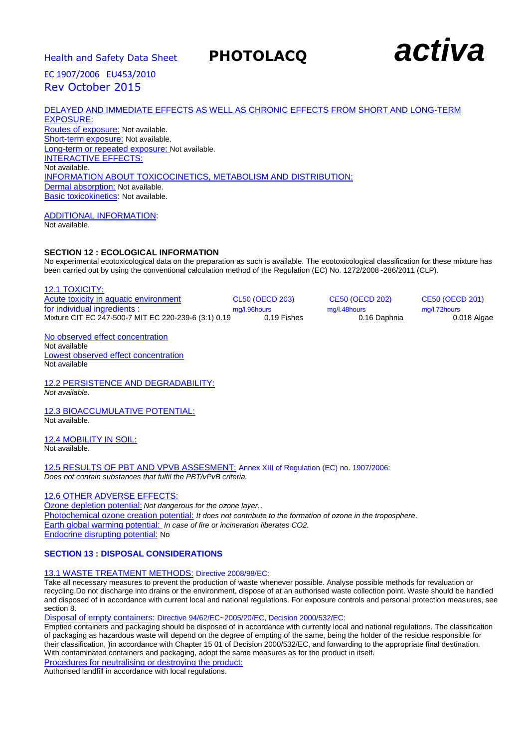

# DELAYED AND IMMEDIATE EFFECTS AS WELL AS CHRONIC EFFECTS FROM SHORT AND LONG-TERM EXPOSURE:

Routes of exposure: Not available. Short-term exposure: Not available. Long-term or repeated exposure: Not available. INTERACTIVE EFFECTS: Not available. INFORMATION ABOUT TOXICOCINETICS, METABOLISM AND DISTRIBUTION: Dermal absorption: Not available. Basic toxicokinetics: Not available.

ADDITIONAL INFORMATION:

Not available.

# **SECTION 12 : ECOLOGICAL INFORMATION**

No experimental ecotoxicological data on the preparation as such is available. The ecotoxicological classification for these mixture has been carried out by using the conventional calculation method of the Regulation (EC) No. 1272/2008~286/2011 (CLP).

12.1 TOXICITY: Acute toxicity in aquatic environment CL50 (OECD 203) CE50 (OECD 202) CE50 (OECD 201) for individual ingredients : mg/l.96hours mg/l.96hours mg/l.48hours mg/l.48hours mg/l.72hours mg/l.72hours mg/<br>Mixture CIT EC 247-500-7 MIT EC 220-239-6 (3:1) 0.19 0.19 Fishes 0.16 Daphnia 0.018 Algae Mixture CIT EC 247-500-7 MIT EC 220-239-6 (3:1) 0.19

No observed effect concentration Not available Lowest observed effect concentration Not available

12.2 PERSISTENCE AND DEGRADABILITY: *Not available.*

12.3 BIOACCUMULATIVE POTENTIAL: Not available.

12.4 MOBILITY IN SOIL: Not available.

12.5 RESULTS OF PBT AND VPVB ASSESMENT: Annex XIII of Regulation (EC) no. 1907/2006: *Does not contain substances that fulfil the PBT/vPvB criteria.*

# 12.6 OTHER ADVERSE EFFECTS:

Ozone depletion potential: *Not dangerous for the ozone layer.*. Photochemical ozone creation potential: *It does not contribute to the formation of ozone in the troposphere*. Earth global warming potential: *In case of fire or incineration liberates CO2.* Endocrine disrupting potential: No

# **SECTION 13 : DISPOSAL CONSIDERATIONS**

# 13.1 WASTE TREATMENT METHODS: Directive 2008/98/EC:

Take all necessary measures to prevent the production of waste whenever possible. Analyse possible methods for revaluation or recycling.Do not discharge into drains or the environment, dispose of at an authorised waste collection point. Waste should be handled and disposed of in accordance with current local and national regulations. For exposure controls and personal protection measures, see section<sup>8</sup>.

Disposal of empty containers: Directive 94/62/EC~2005/20/EC, Decision 2000/532/EC:

Emptied containers and packaging should be disposed of in accordance with currently local and national regulations. The classification of packaging as hazardous waste will depend on the degree of empting of the same, being the holder of the residue responsible for their classification, )in accordance with Chapter 15 01 of Decision 2000/532/EC, and forwarding to the appropriate final destination. With contaminated containers and packaging, adopt the same measures as for the product in itself.

Procedures for neutralising or destroying the product:

Authorised landfill in accordance with local regulations.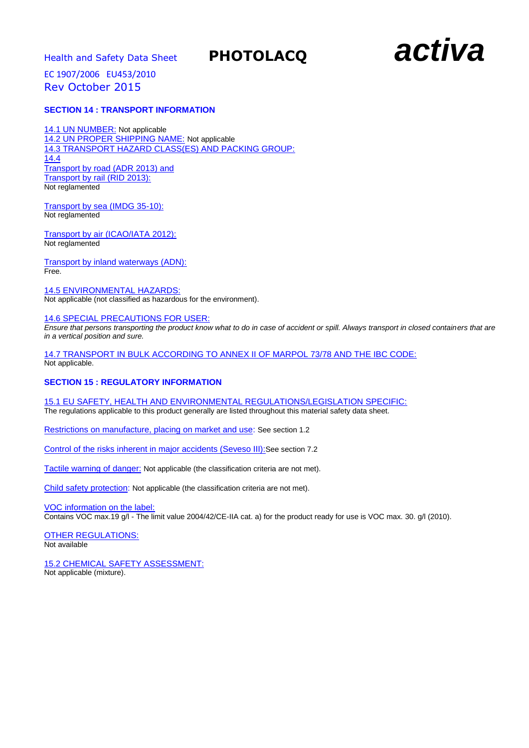

# **SECTION 14 : TRANSPORT INFORMATION**

14.1 UN NUMBER: Not applicable 14.2 UN PROPER SHIPPING NAME: Not applicable 14.3 TRANSPORT HAZARD CLASS(ES) AND PACKING GROUP: 14.4 Transport by road (ADR 2013) and Transport by rail (RID 2013): Not reglamented

Transport by sea (IMDG 35-10): Not reglamented

Transport by air (ICAO/IATA 2012): Not reglamented

Transport by inland waterways (ADN): Free.

14.5 ENVIRONMENTAL HAZARDS: Not applicable (not classified as hazardous for the environment).

# 14.6 SPECIAL PRECAUTIONS FOR USER:

*Ensure that persons transporting the product know what to do in case of accident or spill. Always transport in closed containers that are in a vertical position and sure.*

14.7 TRANSPORT IN BULK ACCORDING TO ANNEX II OF MARPOL 73/78 AND THE IBC CODE: Not applicable.

# **SECTION 15 : REGULATORY INFORMATION**

15.1 EU SAFETY, HEALTH AND ENVIRONMENTAL REGULATIONS/LEGISLATION SPECIFIC:

The regulations applicable to this product generally are listed throughout this material safety data sheet.

Restrictions on manufacture, placing on market and use: See section 1.2

Control of the risks inherent in major accidents (Seveso III): See section 7.2

Tactile warning of danger: Not applicable (the classification criteria are not met).

Child safety protection: Not applicable (the classification criteria are not met).

VOC information on the label:

Contains VOC max.19 g/l - The limit value 2004/42/CE-IIA cat. a) for the product ready for use is VOC max. 30. g/l (2010).

OTHER REGULATIONS:

Not available

15.2 CHEMICAL SAFETY ASSESSMENT: Not applicable (mixture).